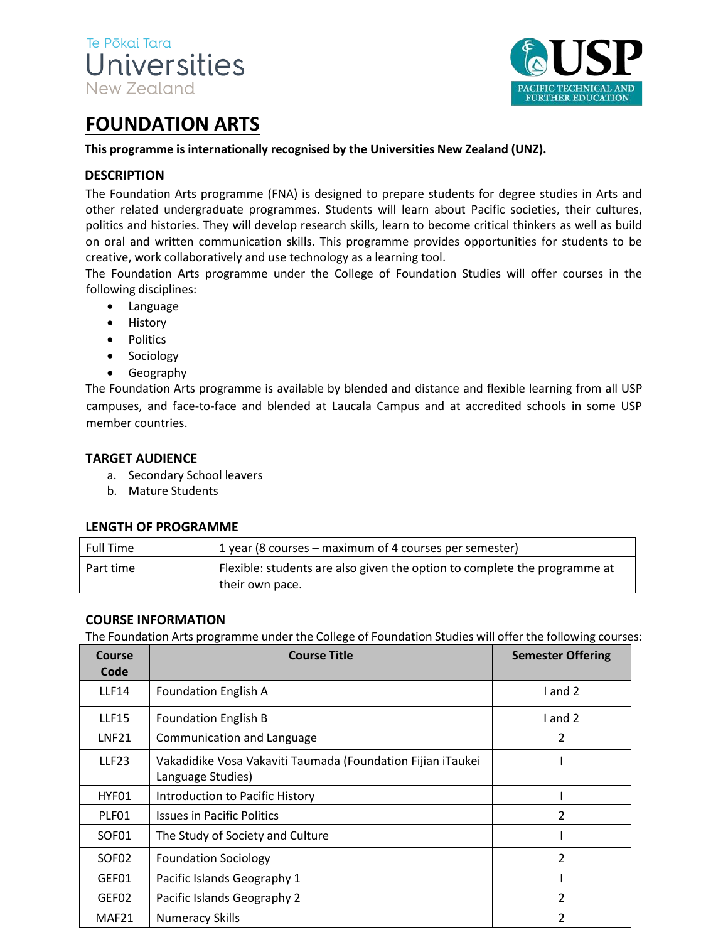



# **FOUNDATION ARTS**

#### **This programme is internationally recognised by the Universities New Zealand (UNZ).**

## **DESCRIPTION**

The Foundation Arts programme (FNA) is designed to prepare students for degree studies in Arts and other related undergraduate programmes. Students will learn about Pacific societies, their cultures, politics and histories. They will develop research skills, learn to become critical thinkers as well as build on oral and written communication skills. This programme provides opportunities for students to be creative, work collaboratively and use technology as a learning tool.

The Foundation Arts programme under the College of Foundation Studies will offer courses in the following disciplines:

- Language
- History
- Politics
- Sociology
- Geography

The Foundation Arts programme is available by blended and distance and flexible learning from all USP campuses, and face-to-face and blended at Laucala Campus and at accredited schools in some USP member countries.

#### **TARGET AUDIENCE**

- a. Secondary School leavers
- b. Mature Students

#### **LENGTH OF PROGRAMME**

| <b>Full Time</b> | 1 year (8 courses – maximum of 4 courses per semester)                                       |
|------------------|----------------------------------------------------------------------------------------------|
| Part time        | Flexible: students are also given the option to complete the programme at<br>their own pace. |

#### **COURSE INFORMATION**

The Foundation Arts programme under the College of Foundation Studies will offer the following courses:

| Course<br>Code    | <b>Course Title</b>                                                              | <b>Semester Offering</b> |  |
|-------------------|----------------------------------------------------------------------------------|--------------------------|--|
| <b>LLF14</b>      | <b>Foundation English A</b>                                                      | I and 2                  |  |
| <b>LLF15</b>      | <b>Foundation English B</b>                                                      | I and 2                  |  |
| <b>LNF21</b>      | Communication and Language                                                       | 2                        |  |
| <b>LLF23</b>      | Vakadidike Vosa Vakaviti Taumada (Foundation Fijian iTaukei<br>Language Studies) |                          |  |
| HYF01             | Introduction to Pacific History                                                  |                          |  |
| PLF01             | <b>Issues in Pacific Politics</b>                                                | 2                        |  |
| SOF <sub>01</sub> | The Study of Society and Culture                                                 |                          |  |
| SOF <sub>02</sub> | <b>Foundation Sociology</b>                                                      | 2                        |  |
| GEF01             | Pacific Islands Geography 1                                                      |                          |  |
| GEF02             | Pacific Islands Geography 2                                                      | 2                        |  |
| MAF <sub>21</sub> | <b>Numeracy Skills</b>                                                           | 2                        |  |